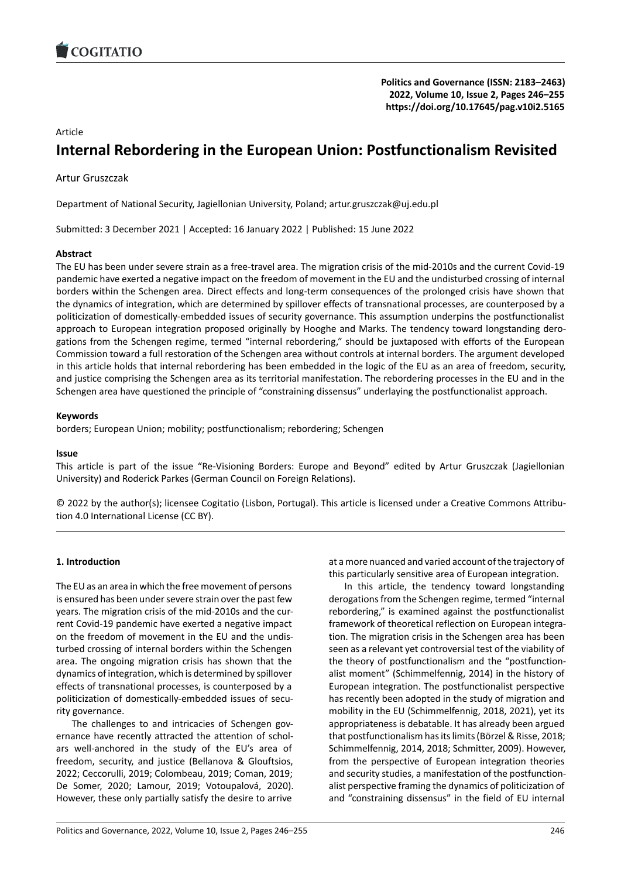

# Article

# **Internal Rebordering in the European Union: Po[stfunctionalism Revisited](https://doi.org/10.17645/pag.v10i2.5165)**

Artur Gruszczak

Department of National Security, Jagiellonian University, Poland; artur.gruszczak@uj.edu.pl

Submitted: 3 December 2021 | Accepted: 16 January 2022 | Published: 15 June 2022

# **Abstract**

The EU has been under severe strain as a free‐travel area. The migration crisis of the mid‐2010s and the current Covid‐19 pandemic have exerted a negative impact on the freedom of movement in the EU and the undisturbed crossing of internal borders within the Schengen area. Direct effects and long-term consequences of the prolonged crisis have shown that the dynamics of integration, which are determined by spillover effects of transnational processes, are counterposed by a politicization of domestically-embedded issues of security governance. This assumption underpins the postfunctionalist approach to European integration proposed originally by Hooghe and Marks. The tendency toward longstanding dero‐ gations from the Schengen regime, termed "internal rebordering," should be juxtaposed with efforts of the European Commission toward a full restoration of the Schengen area without controls at internal borders. The argument developed in this article holds that internal rebordering has been embedded in the logic of the EU as an area of freedom, security, and justice comprising the Schengen area as its territorial manifestation. The rebordering processes in the EU and in the Schengen area have questioned the principle of "constraining dissensus" underlaying the postfunctionalist approach.

# **Keywords**

borders; European Union; mobility; postfunctionalism; rebordering; Schengen

### **Issue**

This article is part of the issue "Re‐Visioning Borders: Europe and Beyond" edited by Artur Gruszczak (Jagiellonian University) and Roderick Parkes (German Council on Foreign Relations).

© 2022 by the author(s); licensee Cogitatio (Lisbon, Portugal). This article is licensed under a Creative Commons Attribu‐ tion 4.0 International License (CC BY).

# **1. Introduction**

The EU as an area in which the free movement of persons is ensured has been under severe strain over the past few years. The migration crisis of the mid‐2010s and the cur‐ rent Covid‐19 pandemic have exerted a negative impact on the freedom of movement in the EU and the undis‐ turbed crossing of internal borders within the Schengen area. The ongoing migration crisis has shown that the dynamics of integration, which is determined by spillover effects of transnational processes, is counterposed by a politicization of domestically-embedded issues of security governance.

The challenges to and intricacies of Schengen governance have recently attracted the attention of schol‐ ars well‐anchored in the study of the EU's area of freedom, security, and justice (Bellanova & Glouftsios, 2022; Ceccorulli, 2019; Colombeau, 2019; Coman, 2019; De Somer, 2020; Lamour, 2019; Votoupalová, 2020). However, these only partially satisfy the desire to arrive

at a more nuanced and varied account of the trajectory of this particularly sensitive area of European integration.

In this article, the tendency toward longstanding derogations from the Schengen regime, termed "internal rebordering," is examined against the postfunctionalist framework of theoretical reflection on European integra‐ tion. The migration crisis in the Schengen area has been seen as a relevant yet controversial test of the viability of the theory of postfunctionalism and the "postfunction‐ alist moment" (Schimmelfennig, 2014) in the history of European integration. The postfunctionalist perspective has recently been adopted in the study of migration and mobility in the EU (Schimmelfennig, 2018, 2021), yet its appropriateness is debatable. It has already been argued that postfunctionalism has its limits (Börzel & Risse, 2018; Schimmelfennig, 2014, 2018; Schmitter, 2009). However, from the perspective of European integration theories and security studies, a manifestation of the postfunction‐ alist perspective framing the dynamics of politicization of and "constraining dissensus" in the field of EU internal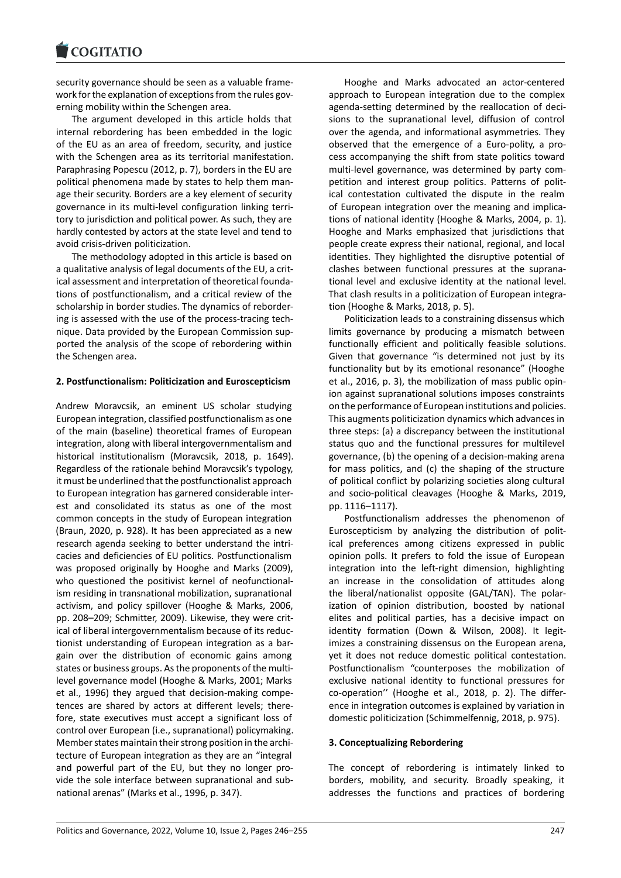security governance should be seen as a valuable frame‐ [work for the explanat](https://www.cogitatiopress.com)ion of exceptions from the rules governing mobility within the Schengen area.

The argument developed in this article holds that internal rebordering has been embedded in the logic of the EU as an area of freedom, security, and justice with the Schengen area as its territorial manifestation. Paraphrasing Popescu (2012, p. 7), borders in the EU are political phenomena made by states to help them man‐ age their security. Borders are a key element of security governance in its multi‐level configuration linking terri‐ tory to jurisdiction and political power. As such, they are hardly contested by actors at the state level and tend to avoid crisis‐driven politicization.

The methodology adopted in this article is based on a qualitative analysis of legal documents of the EU, a crit‐ ical assessment and interpretation of theoretical founda‐ tions of postfunctionalism, and a critical review of the scholarship in border studies. The dynamics of reborder‐ ing is assessed with the use of the process-tracing technique. Data provided by the European Commission sup‐ ported the analysis of the scope of rebordering within the Schengen area.

# **2. Postfunctionalism: Politicization and Euroscepticism**

Andrew Moravcsik, an eminent US scholar studying European integration, classified postfunctionalism as one of the main (baseline) theoretical frames of European integration, along with liberal intergovernmentalism and historical institutionalism (Moravcsik, 2018, p. 1649). Regardless of the rationale behind Moravcsik's typology, it must be underlined that the postfunctionalist approach to European integration has garnered considerable inter‐ est and consolidated its status as one of the most common concepts in the study of European integration (Braun, 2020, p. 928). It has been appreciated as a new research agenda seeking to better understand the intri‐ cacies and deficiencies of EU politics. Postfunctionalism was proposed originally by Hooghe and Marks (2009), who questioned the positivist kernel of neofunctionalism residing in transnational mobilization, supranational activism, and policy spillover (Hooghe & Marks, 2006, pp. 208-209; Schmitter, 2009). Likewise, they were critical of liberal intergovernmentalism because of its reduc‐ tionist understanding of European integration as a bar‐ gain over the distribution of economic gains among states or business groups. As the proponents of the multi‐ level governance model (Hooghe & Marks, 2001; Marks et al., 1996) they argued that decision‐making compe‐ tences are shared by actors at different levels; there‐ fore, state executives must accept a significant loss of control over European (i.e., supranational) policymaking. Member states maintain their strong position in the archi‐ tecture of European integration as they are an "integral and powerful part of the EU, but they no longer pro‐ vide the sole interface between supranational and sub‐ national arenas" (Marks et al., 1996, p. 347).

Hooghe and Marks advocated an actor‐centered approach to European integration due to the complex agenda‐setting determined by the reallocation of deci‐ sions to the supranational level, diffusion of control over the agenda, and informational asymmetries. They observed that the emergence of a Euro‐polity, a pro‐ cess accompanying the shift from state politics toward multi-level governance, was determined by party competition and interest group politics. Patterns of political contestation cultivated the dispute in the realm of European integration over the meaning and implications of national identity (Hooghe & Marks, 2004, p. 1). Hooghe and Marks emphasized that jurisdictions that people create express their national, regional, and local identities. They highlighted the disruptive potential of clashes between functional pressures at the suprana‐ tional level and exclusive identity at the national level. That clash results in a politicization of European integra‐ tion (Hooghe & Marks, 2018, p. 5).

Politicization leads to a constraining dissensus which limits governance by producing a mismatch between functionally efficient and politically feasible solutions. Given that governance "is determined not just by its functionality but by its emotional resonance" (Hooghe et al., 2016, p. 3), the mobilization of mass public opin‐ ion against supranational solutions imposes constraints on the performance of European institutions and policies. This augments politicization dynamics which advances in three steps: (a) a discrepancy between the institutional status quo and the functional pressures for multilevel governance, (b) the opening of a decision‐making arena for mass politics, and (c) the shaping of the structure of political conflict by polarizing societies along cultural and socio‐political cleavages (Hooghe & Marks, 2019, pp. 1116–1117).

Postfunctionalism addresses the phenomenon of Euroscepticism by analyzing the distribution of polit‐ ical preferences among citizens expressed in public opinion polls. It prefers to fold the issue of European integration into the left-right dimension, highlighting an increase in the consolidation of attitudes along the liberal/nationalist opposite (GAL/TAN). The polar‐ ization of opinion distribution, boosted by national elites and political parties, has a decisive impact on identity formation (Down & Wilson, 2008). It legit‐ imizes a constraining dissensus on the European arena, yet it does not reduce domestic political contestation. Postfunctionalism "counterposes the mobilization of exclusive national identity to functional pressures for co‐operation'' (Hooghe et al., 2018, p. 2). The differ‐ ence in integration outcomes is explained by variation in domestic politicization (Schimmelfennig, 2018, p. 975).

# **3. Conceptualizing Rebordering**

The concept of rebordering is intimately linked to borders, mobility, and security. Broadly speaking, it addresses the functions and practices of bordering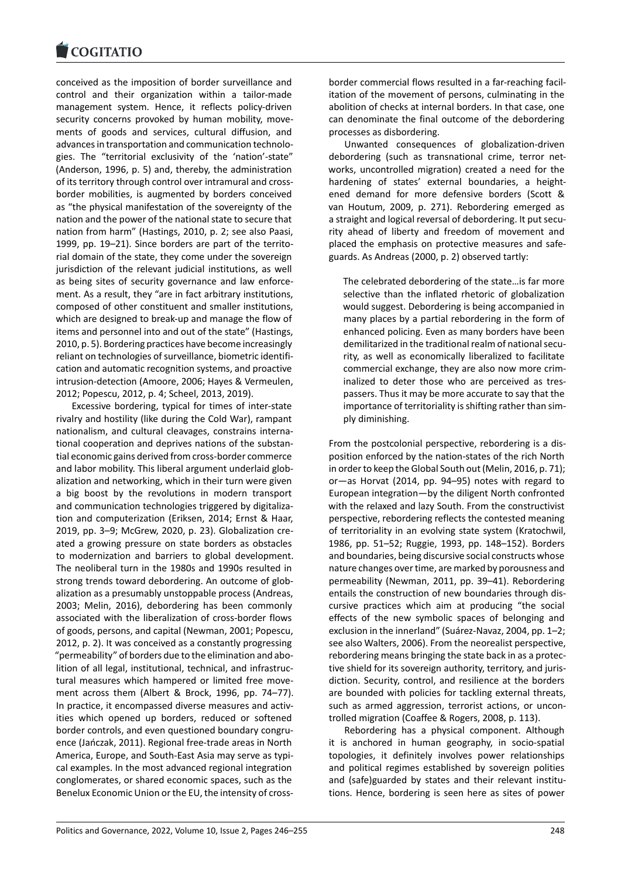#### COQUATIO

conceived as the imposition of border surveillance and [control and their o](https://www.cogitatiopress.com)rganization within a tailor‐made management system. Hence, it reflects policy‐driven security concerns provoked by human mobility, movements of goods and services, cultural diffusion, and advances in transportation and communication technolo‐ gies. The "territorial exclusivity of the 'nation'‐state" (Anderson, 1996, p. 5) and, thereby, the administration of its territory through control over intramural and cross‐ border mobilities, is augmented by borders conceived as "the physical manifestation of the sovereignty of the nation and the power of the national state to secure that nation from harm" (Hastings, 2010, p. 2; see also Paasi, 1999, pp. 19–21). Since borders are part of the territo‐ rial domain of the state, they come under the sovereign jurisdiction of the relevant judicial institutions, as well as being sites of security governance and law enforce‐ ment. As a result, they "are in fact arbitrary institutions, composed of other constituent and smaller institutions, which are designed to break‐up and manage the flow of items and personnel into and out of the state" (Hastings, 2010, p. 5). Bordering practices have become increasingly reliant on technologies of surveillance, biometric identifi‐ cation and automatic recognition systems, and proactive intrusion‐detection (Amoore, 2006; Hayes & Vermeulen, 2012; Popescu, 2012, p. 4; Scheel, 2013, 2019).

Excessive bordering, typical for times of inter‐state rivalry and hostility (like during the Cold War), rampant nationalism, and cultural cleavages, constrains interna‐ tional cooperation and deprives nations of the substan‐ tial economic gains derived from cross‐border commerce and labor mobility. This liberal argument underlaid globalization and networking, which in their turn were given a big boost by the revolutions in modern transport and communication technologies triggered by digitaliza‐ tion and computerization (Eriksen, 2014; Ernst & Haar, 2019, pp. 3–9; McGrew, 2020, p. 23). Globalization cre‐ ated a growing pressure on state borders as obstacles to modernization and barriers to global development. The neoliberal turn in the 1980s and 1990s resulted in strong trends toward debordering. An outcome of glob‐ alization as a presumably unstoppable process (Andreas, 2003; Melin, 2016), debordering has been commonly associated with the liberalization of cross‐border flows of goods, persons, and capital (Newman, 2001; Popescu, 2012, p. 2). It was conceived as a constantly progressing "permeability" of borders due to the elimination and abo‐ lition of all legal, institutional, technical, and infrastruc‐ tural measures which hampered or limited free move‐ ment across them (Albert & Brock, 1996, pp. 74–77). In practice, it encompassed diverse measures and activ‐ ities which opened up borders, reduced or softened border controls, and even questioned boundary congru‐ ence (Jańczak, 2011). Regional free‐trade areas in North America, Europe, and South‐East Asia may serve as typi‐ cal examples. In the most advanced regional integration conglomerates, or shared economic spaces, such as the Benelux Economic Union or the EU, the intensity of cross‐

border commercial flows resulted in a far‐reaching facil‐ itation of the movement of persons, culminating in the abolition of checks at internal borders. In that case, one can denominate the final outcome of the debordering processes as disbordering.

Unwanted consequences of globalization‐driven debordering (such as transnational crime, terror net‐ works, uncontrolled migration) created a need for the hardening of states' external boundaries, a heightened demand for more defensive borders (Scott & van Houtum, 2009, p. 271). Rebordering emerged as a straight and logical reversal of debordering. It put security ahead of liberty and freedom of movement and placed the emphasis on protective measures and safe‐ guards. As Andreas (2000, p. 2) observed tartly:

The celebrated debordering of the state…is far more selective than the inflated rhetoric of globalization would suggest. Debordering is being accompanied in many places by a partial rebordering in the form of enhanced policing. Even as many borders have been demilitarized in the traditional realm of national secu‐ rity, as well as economically liberalized to facilitate commercial exchange, they are also now more crim‐ inalized to deter those who are perceived as trespassers. Thus it may be more accurate to say that the importance of territoriality is shifting rather than sim‐ ply diminishing.

From the postcolonial perspective, rebordering is a dis‐ position enforced by the nation‐states of the rich North in order to keep the Global South out (Melin, 2016, p. 71); or—as Horvat (2014, pp. 94–95) notes with regard to European integration—by the diligent North confronted with the relaxed and lazy South. From the constructivist perspective, rebordering reflects the contested meaning of territoriality in an evolving state system (Kratochwil, 1986, pp. 51–52; Ruggie, 1993, pp. 148–152). Borders and boundaries, being discursive social constructs whose nature changes over time, are marked by porousness and permeability (Newman, 2011, pp. 39–41). Rebordering entails the construction of new boundaries through dis‐ cursive practices which aim at producing "the social effects of the new symbolic spaces of belonging and exclusion in the innerland" (Suárez‐Navaz, 2004, pp. 1–2; see also Walters, 2006). From the neorealist perspective, rebordering means bringing the state back in as a protec‐ tive shield for its sovereign authority, territory, and juris‐ diction. Security, control, and resilience at the borders are bounded with policies for tackling external threats, such as armed aggression, terrorist actions, or uncontrolled migration (Coaffee & Rogers, 2008, p. 113).

Rebordering has a physical component. Although it is anchored in human geography, in socio‐spatial topologies, it definitely involves power relationships and political regimes established by sovereign polities and (safe)guarded by states and their relevant institutions. Hence, bordering is seen here as sites of power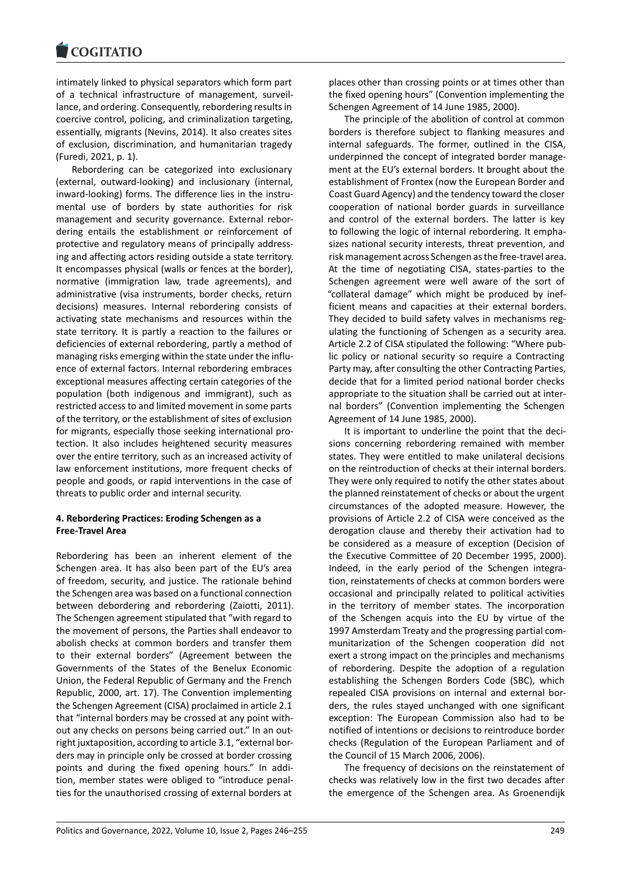intimately linked to physical separators which form part [of a technical infra](https://www.cogitatiopress.com)structure of management, surveil‐ lance, and ordering. Consequently, rebordering results in coercive control, policing, and criminalization targeting, essentially, migrants (Nevins, 2014). It also creates sites of exclusion, discrimination, and humanitarian tragedy (Furedi, 2021, p. 1).

Rebordering can be categorized into exclusionary (external, outward‐looking) and inclusionary (internal, inward-looking) forms. The difference lies in the instrumental use of borders by state authorities for risk management and security governance. External rebor‐ dering entails the establishment or reinforcement of protective and regulatory means of principally address‐ ing and affecting actors residing outside a state territory. It encompasses physical (walls or fences at the border), normative (immigration law, trade agreements), and administrative (visa instruments, border checks, return decisions) measures. Internal rebordering consists of activating state mechanisms and resources within the state territory. It is partly a reaction to the failures or deficiencies of external rebordering, partly a method of managing risks emerging within the state under the influ‐ ence of external factors. Internal rebordering embraces exceptional measures affecting certain categories of the population (both indigenous and immigrant), such as restricted access to and limited movement in some parts of the territory, or the establishment of sites of exclusion for migrants, especially those seeking international pro‐ tection. It also includes heightened security measures over the entire territory, such as an increased activity of law enforcement institutions, more frequent checks of people and goods, or rapid interventions in the case of threats to public order and internal security.

# **4. Rebordering Practices: Eroding Schengen as a Free‐Travel Area**

Rebordering has been an inherent element of the Schengen area. It has also been part of the EU's area of freedom, security, and justice. The rationale behind the Schengen area was based on a functional connection between debordering and rebordering (Zaiotti, 2011). The Schengen agreement stipulated that "with regard to the movement of persons, the Parties shall endeavor to abolish checks at common borders and transfer them to their external borders" (Agreement between the Governments of the States of the Benelux Economic Union, the Federal Republic of Germany and the French Republic, 2000, art. 17). The Convention implementing the Schengen Agreement (CISA) proclaimed in article 2.1 that "internal borders may be crossed at any point with‐ out any checks on persons being carried out." In an out‐ right juxtaposition, according to article 3.1, "external bor‐ ders may in principle only be crossed at border crossing points and during the fixed opening hours." In addi‐ tion, member states were obliged to "introduce penal‐ ties for the unauthorised crossing of external borders at

places other than crossing points or at times other than the fixed opening hours" (Convention implementing the Schengen Agreement of 14 June 1985, 2000).

The principle of the abolition of control at common borders is therefore subject to flanking measures and internal safeguards. The former, outlined in the CISA, underpinned the concept of integrated border manage‐ ment at the EU's external borders. It brought about the establishment of Frontex (now the European Border and Coast Guard Agency) and the tendency toward the closer cooperation of national border guards in surveillance and control of the external borders. The latter is key to following the logic of internal rebordering. It empha‐ sizes national security interests, threat prevention, and risk management across Schengen as the free‐travel area. At the time of negotiating CISA, states‐parties to the Schengen agreement were well aware of the sort of "collateral damage" which might be produced by inef‐ ficient means and capacities at their external borders. They decided to build safety valves in mechanisms reg‐ ulating the functioning of Schengen as a security area. Article 2.2 of CISA stipulated the following: "Where pub‐ lic policy or national security so require a Contracting Party may, after consulting the other Contracting Parties, decide that for a limited period national border checks appropriate to the situation shall be carried out at inter‐ nal borders" (Convention implementing the Schengen Agreement of 14 June 1985, 2000).

It is important to underline the point that the deci‐ sions concerning rebordering remained with member states. They were entitled to make unilateral decisions on the reintroduction of checks at their internal borders. They were only required to notify the other states about the planned reinstatement of checks or about the urgent circumstances of the adopted measure. However, the provisions of Article 2.2 of CISA were conceived as the derogation clause and thereby their activation had to be considered as a measure of exception (Decision of the Executive Committee of 20 December 1995, 2000). Indeed, in the early period of the Schengen integra‐ tion, reinstatements of checks at common borders were occasional and principally related to political activities in the territory of member states. The incorporation of the Schengen acquis into the EU by virtue of the 1997 Amsterdam Treaty and the progressing partial com‐ munitarization of the Schengen cooperation did not exert a strong impact on the principles and mechanisms of rebordering. Despite the adoption of a regulation establishing the Schengen Borders Code (SBC), which repealed CISA provisions on internal and external bor‐ ders, the rules stayed unchanged with one significant exception: The European Commission also had to be notified of intentions or decisions to reintroduce border checks (Regulation of the European Parliament and of the Council of 15 March 2006, 2006).

The frequency of decisions on the reinstatement of checks was relatively low in the first two decades after the emergence of the Schengen area. As Groenendijk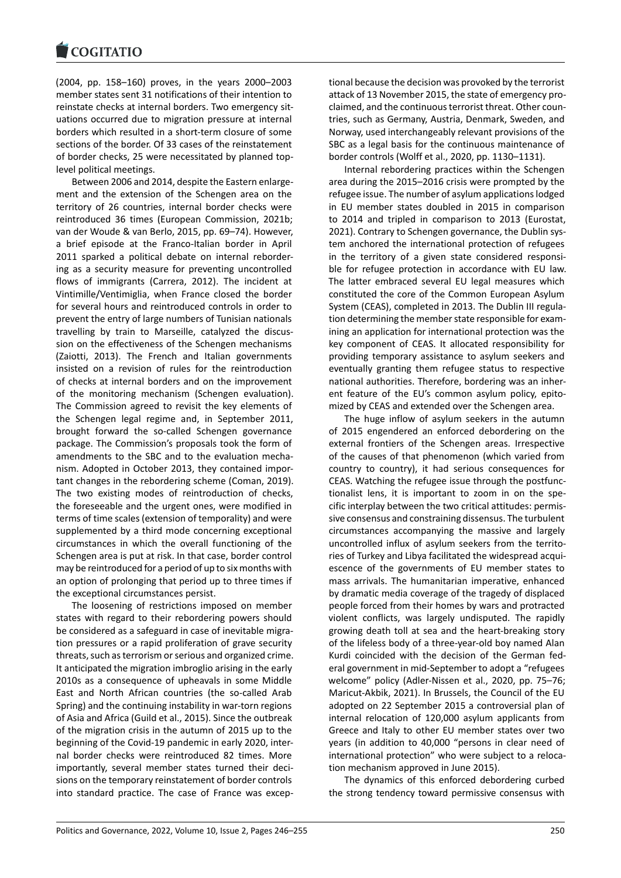(2004, pp. 158–160) proves, in the years 2000–2003 [member states sent 3](https://www.cogitatiopress.com)1 notifications of their intention to reinstate checks at internal borders. Two emergency sit‐ uations occurred due to migration pressure at internal borders which resulted in a short‐term closure of some sections of the border. Of 33 cases of the reinstatement of border checks, 25 were necessitated by planned top‐ level political meetings.

Between 2006 and 2014, despite the Eastern enlarge‐ ment and the extension of the Schengen area on the territory of 26 countries, internal border checks were reintroduced 36 times (European Commission, 2021b; van der Woude & van Berlo, 2015, pp. 69–74). However, a brief episode at the Franco‐Italian border in April 2011 sparked a political debate on internal reborder‐ ing as a security measure for preventing uncontrolled flows of immigrants (Carrera, 2012). The incident at Vintimille/Ventimiglia, when France closed the border for several hours and reintroduced controls in order to prevent the entry of large numbers of Tunisian nationals travelling by train to Marseille, catalyzed the discus‐ sion on the effectiveness of the Schengen mechanisms (Zaiotti, 2013). The French and Italian governments insisted on a revision of rules for the reintroduction of checks at internal borders and on the improvement of the monitoring mechanism (Schengen evaluation). The Commission agreed to revisit the key elements of the Schengen legal regime and, in September 2011, brought forward the so-called Schengen governance package. The Commission's proposals took the form of amendments to the SBC and to the evaluation mecha‐ nism. Adopted in October 2013, they contained impor‐ tant changes in the rebordering scheme (Coman, 2019). The two existing modes of reintroduction of checks, the foreseeable and the urgent ones, were modified in terms of time scales (extension of temporality) and were supplemented by a third mode concerning exceptional circumstances in which the overall functioning of the Schengen area is put at risk. In that case, border control may be reintroduced for a period of up to six months with an option of prolonging that period up to three times if the exceptional circumstances persist.

The loosening of restrictions imposed on member states with regard to their rebordering powers should be considered as a safeguard in case of inevitable migra‐ tion pressures or a rapid proliferation of grave security threats, such as terrorism or serious and organized crime. It anticipated the migration imbroglio arising in the early 2010s as a consequence of upheavals in some Middle East and North African countries (the so-called Arab Spring) and the continuing instability in war-torn regions of Asia and Africa (Guild et al., 2015). Since the outbreak of the migration crisis in the autumn of 2015 up to the beginning of the Covid‐19 pandemic in early 2020, inter‐ nal border checks were reintroduced 82 times. More importantly, several member states turned their decisions on the temporary reinstatement of border controls into standard practice. The case of France was excep‐ tional because the decision was provoked by the terrorist attack of 13 November 2015, the state of emergency pro‐ claimed, and the continuous terrorist threat. Other coun‐ tries, such as Germany, Austria, Denmark, Sweden, and Norway, used interchangeably relevant provisions of the SBC as a legal basis for the continuous maintenance of border controls (Wolff et al., 2020, pp. 1130–1131).

Internal rebordering practices within the Schengen area during the 2015–2016 crisis were prompted by the refugee issue. The number of asylum applications lodged in EU member states doubled in 2015 in comparison to 2014 and tripled in comparison to 2013 (Eurostat, 2021). Contrary to Schengen governance, the Dublin sys‐ tem anchored the international protection of refugees in the territory of a given state considered responsible for refugee protection in accordance with EU law. The latter embraced several EU legal measures which constituted the core of the Common European Asylum System (CEAS), completed in 2013. The Dublin III regula‐ tion determining the member state responsible for exam‐ ining an application for international protection was the key component of CEAS. It allocated responsibility for providing temporary assistance to asylum seekers and eventually granting them refugee status to respective national authorities. Therefore, bordering was an inher‐ ent feature of the EU's common asylum policy, epitomized by CEAS and extended over the Schengen area.

The huge inflow of asylum seekers in the autumn of 2015 engendered an enforced debordering on the external frontiers of the Schengen areas. Irrespective of the causes of that phenomenon (which varied from country to country), it had serious consequences for CEAS. Watching the refugee issue through the postfunc‐ tionalist lens, it is important to zoom in on the spe‐ cific interplay between the two critical attitudes: permis‐ sive consensus and constraining dissensus. The turbulent circumstances accompanying the massive and largely uncontrolled influx of asylum seekers from the territo‐ ries of Turkey and Libya facilitated the widespread acqui‐ escence of the governments of EU member states to mass arrivals. The humanitarian imperative, enhanced by dramatic media coverage of the tragedy of displaced people forced from their homes by wars and protracted violent conflicts, was largely undisputed. The rapidly growing death toll at sea and the heart‐breaking story of the lifeless body of a three‐year‐old boy named Alan Kurdi coincided with the decision of the German fed‐ eral government in mid‐September to adopt a "refugees welcome" policy (Adler‐Nissen et al., 2020, pp. 75–76; Maricut‐Akbik, 2021). In Brussels, the Council of the EU adopted on 22 September 2015 a controversial plan of internal relocation of 120,000 asylum applicants from Greece and Italy to other EU member states over two years (in addition to 40,000 "persons in clear need of international protection" who were subject to a reloca‐ tion mechanism approved in June 2015).

The dynamics of this enforced debordering curbed the strong tendency toward permissive consensus with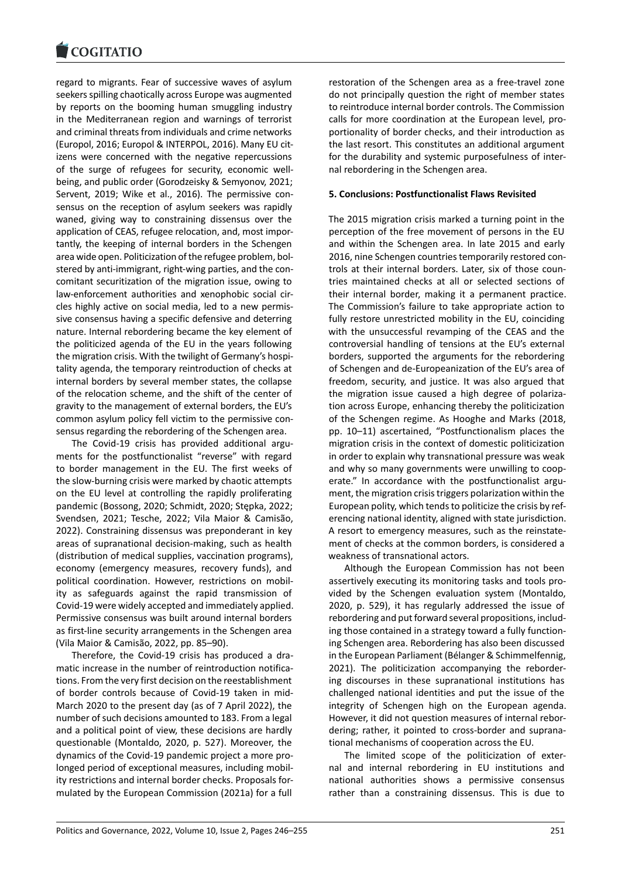regard to migrants. Fear of successive waves of asylum [seekers spilling chaot](https://www.cogitatiopress.com)ically across Europe was augmented by reports on the booming human smuggling industry in the Mediterranean region and warnings of terrorist and criminal threats from individuals and crime networks (Europol, 2016; Europol & INTERPOL, 2016). Many EU cit‐ izens were concerned with the negative repercussions of the surge of refugees for security, economic well‐ being, and public order (Gorodzeisky & Semyonov, 2021; Servent, 2019; Wike et al., 2016). The permissive consensus on the reception of asylum seekers was rapidly waned, giving way to constraining dissensus over the application of CEAS, refugee relocation, and, most impor‐ tantly, the keeping of internal borders in the Schengen area wide open. Politicization of the refugee problem, bol‐ stered by anti-immigrant, right-wing parties, and the concomitant securitization of the migration issue, owing to law-enforcement authorities and xenophobic social circles highly active on social media, led to a new permis‐ sive consensus having a specific defensive and deterring nature. Internal rebordering became the key element of the politicized agenda of the EU in the years following the migration crisis. With the twilight of Germany's hospi‐ tality agenda, the temporary reintroduction of checks at internal borders by several member states, the collapse of the relocation scheme, and the shift of the center of gravity to the management of external borders, the EU's common asylum policy fell victim to the permissive con‐ sensus regarding the rebordering of the Schengen area.

The Covid‐19 crisis has provided additional argu‐ ments for the postfunctionalist "reverse" with regard to border management in the EU. The first weeks of the slow‐burning crisis were marked by chaotic attempts on the EU level at controlling the rapidly proliferating pandemic (Bossong, 2020; Schmidt, 2020; Stępka, 2022; Svendsen, 2021; Tesche, 2022; Vila Maior & Camisão, 2022). Constraining dissensus was preponderant in key areas of supranational decision‐making, such as health (distribution of medical supplies, vaccination programs), economy (emergency measures, recovery funds), and political coordination. However, restrictions on mobil‐ ity as safeguards against the rapid transmission of Covid‐19 were widely accepted and immediately applied. Permissive consensus was built around internal borders as first‐line security arrangements in the Schengen area (Vila Maior & Camisão, 2022, pp. 85–90).

Therefore, the Covid‐19 crisis has produced a dra‐ matic increase in the number of reintroduction notifications. From the very first decision on the reestablishment of border controls because of Covid‐19 taken in mid‐ March 2020 to the present day (as of 7 April 2022), the number of such decisions amounted to 183. From a legal and a political point of view, these decisions are hardly questionable (Montaldo, 2020, p. 527). Moreover, the dynamics of the Covid‐19 pandemic project a more pro‐ longed period of exceptional measures, including mobil‐ ity restrictions and internal border checks. Proposals for‐ mulated by the European Commission (2021a) for a full restoration of the Schengen area as a free‐travel zone do not principally question the right of member states to reintroduce internal border controls. The Commission calls for more coordination at the European level, pro‐ portionality of border checks, and their introduction as the last resort. This constitutes an additional argument for the durability and systemic purposefulness of inter‐ nal rebordering in the Schengen area.

### **5. Conclusions: Postfunctionalist Flaws Revisited**

The 2015 migration crisis marked a turning point in the perception of the free movement of persons in the EU and within the Schengen area. In late 2015 and early 2016, nine Schengen countries temporarily restored con‐ trols at their internal borders. Later, six of those coun‐ tries maintained checks at all or selected sections of their internal border, making it a permanent practice. The Commission's failure to take appropriate action to fully restore unrestricted mobility in the EU, coinciding with the unsuccessful revamping of the CEAS and the controversial handling of tensions at the EU's external borders, supported the arguments for the rebordering of Schengen and de‐Europeanization of the EU's area of freedom, security, and justice. It was also argued that the migration issue caused a high degree of polariza‐ tion across Europe, enhancing thereby the politicization of the Schengen regime. As Hooghe and Marks (2018, pp. 10–11) ascertained, "Postfunctionalism places the migration crisis in the context of domestic politicization in order to explain why transnational pressure was weak and why so many governments were unwilling to cooperate." In accordance with the postfunctionalist argument, the migration crisis triggers polarization within the European polity, which tends to politicize the crisis by ref‐ erencing national identity, aligned with state jurisdiction. A resort to emergency measures, such as the reinstate‐ ment of checks at the common borders, is considered a weakness of transnational actors.

Although the European Commission has not been assertively executing its monitoring tasks and tools pro‐ vided by the Schengen evaluation system (Montaldo, 2020, p. 529), it has regularly addressed the issue of rebordering and put forward several propositions, includ‐ ing those contained in a strategy toward a fully function‐ ing Schengen area. Rebordering has also been discussed in the European Parliament (Bélanger & Schimmelfennig, 2021). The politicization accompanying the reborder‐ ing discourses in these supranational institutions has challenged national identities and put the issue of the integrity of Schengen high on the European agenda. However, it did not question measures of internal rebor‐ dering; rather, it pointed to cross‐border and suprana‐ tional mechanisms of cooperation across the EU.

The limited scope of the politicization of exter‐ nal and internal rebordering in EU institutions and national authorities shows a permissive consensus rather than a constraining dissensus. This is due to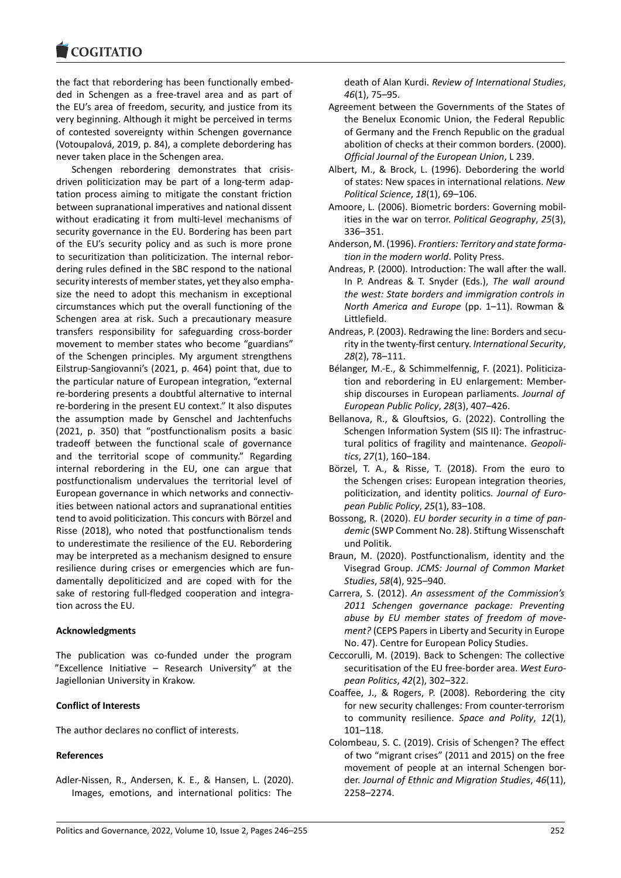the fact that rebordering has been functionally embed‐ [ded in Schengen as](https://www.cogitatiopress.com) a free‐travel area and as part of the EU's area of freedom, security, and justice from its very beginning. Although it might be perceived in terms of contested sovereignty within Schengen governance (Votoupalová, 2019, p. 84), a complete debordering has never taken place in the Schengen area.

Schengen rebordering demonstrates that crisis‐ driven politicization may be part of a long‐term adap‐ tation process aiming to mitigate the constant friction between supranational imperatives and national dissent without eradicating it from multi‐level mechanisms of security governance in the EU. Bordering has been part of the EU's security policy and as such is more prone to securitization than politicization. The internal rebor‐ dering rules defined in the SBC respond to the national security interests of member states, yet they also empha‐ size the need to adopt this mechanism in exceptional circumstances which put the overall functioning of the Schengen area at risk. Such a precautionary measure transfers responsibility for safeguarding cross‐border movement to member states who become "guardians" of the Schengen principles. My argument strengthens Eilstrup‐Sangiovanni's (2021, p. 464) point that, due to the particular nature of European integration, "external re‐bordering presents a doubtful alternative to internal re‐bordering in the present EU context." It also disputes the assumption made by Genschel and Jachtenfuchs (2021, p. 350) that "postfunctionalism posits a basic tradeoff between the functional scale of governance and the territorial scope of community." Regarding internal rebordering in the EU, one can argue that postfunctionalism undervalues the territorial level of European governance in which networks and connectiv‐ ities between national actors and supranational entities tend to avoid politicization. This concurs with Börzel and Risse (2018), who noted that postfunctionalism tends to underestimate the resilience of the EU. Rebordering may be interpreted as a mechanism designed to ensure resilience during crises or emergencies which are fun‐ damentally depoliticized and are coped with for the sake of restoring full-fledged cooperation and integration across the EU.

### **Acknowledgments**

The publication was co-funded under the program "Excellence Initiative – Research University" at the Jagiellonian University in Krakow.

### **Conflict of Interests**

The author declares no conflict of interests.

### **References**

Adler‐Nissen, R., Andersen, K. E., & Hansen, L. (2020). Images, emotions, and international politics: The

death of Alan Kurdi. *Review of International Studies*, *46*(1), 75–95.

- Agreement between the Governments of the States of the Benelux Economic Union, the Federal Republic of Germany and the French Republic on the gradual abolition of checks at their common borders. (2000). *Official Journal of the European Union*, L 239.
- Albert, M., & Brock, L. (1996). Debordering the world of states: New spaces in international relations. *New Political Science*, *18*(1), 69–106.
- Amoore, L. (2006). Biometric borders: Governing mobil‐ ities in the war on terror. *Political Geography*, *25*(3), 336–351.
- Anderson, M. (1996). *Frontiers: Territory and state forma‐ tion in the modern world*. Polity Press.
- Andreas, P. (2000). Introduction: The wall after the wall. In P. Andreas & T. Snyder (Eds.), *The wall around the west: State borders and immigration controls in North America and Europe* (pp. 1–11). Rowman & Littlefield.
- Andreas, P. (2003). Redrawing the line: Borders and secu‐ rity in the twenty‐first century. *International Security*, *28*(2), 78–111.
- Bélanger, M.‐E., & Schimmelfennig, F. (2021). Politiciza‐ tion and rebordering in EU enlargement: Member‐ ship discourses in European parliaments. *Journal of European Public Policy*, *28*(3), 407–426.
- Bellanova, R., & Glouftsios, G. (2022). Controlling the Schengen Information System (SIS II): The infrastruc‐ tural politics of fragility and maintenance. *Geopoli‐ tics*, *27*(1), 160–184.
- Börzel, T. A., & Risse, T. (2018). From the euro to the Schengen crises: European integration theories, politicization, and identity politics. *Journal of Euro‐ pean Public Policy*, *25*(1), 83–108.
- Bossong, R. (2020). *EU border security in a time of pan‐ demic* (SWP Comment No. 28). Stiftung Wissenschaft und Politik.
- Braun, M. (2020). Postfunctionalism, identity and the Visegrad Group. *JCMS: Journal of Common Market Studies*, *58*(4), 925–940.
- Carrera, S. (2012). *An assessment of the Commission's 2011 Schengen governance package: Preventing abuse by EU member states of freedom of move‐ ment?* (CEPS Papers in Liberty and Security in Europe No. 47). Centre for European Policy Studies.
- Ceccorulli, M. (2019). Back to Schengen: The collective securitisation of the EU free‐border area. *West Euro‐ pean Politics*, *42*(2), 302–322.
- Coaffee, J., & Rogers, P. (2008). Rebordering the city for new security challenges: From counter‐terrorism to community resilience. *Space and Polity*, *12*(1), 101–118.
- Colombeau, S. C. (2019). Crisis of Schengen? The effect of two "migrant crises" (2011 and 2015) on the free movement of people at an internal Schengen bor‐ der. *Journal of Ethnic and Migration Studies*, *46*(11), 2258–2274.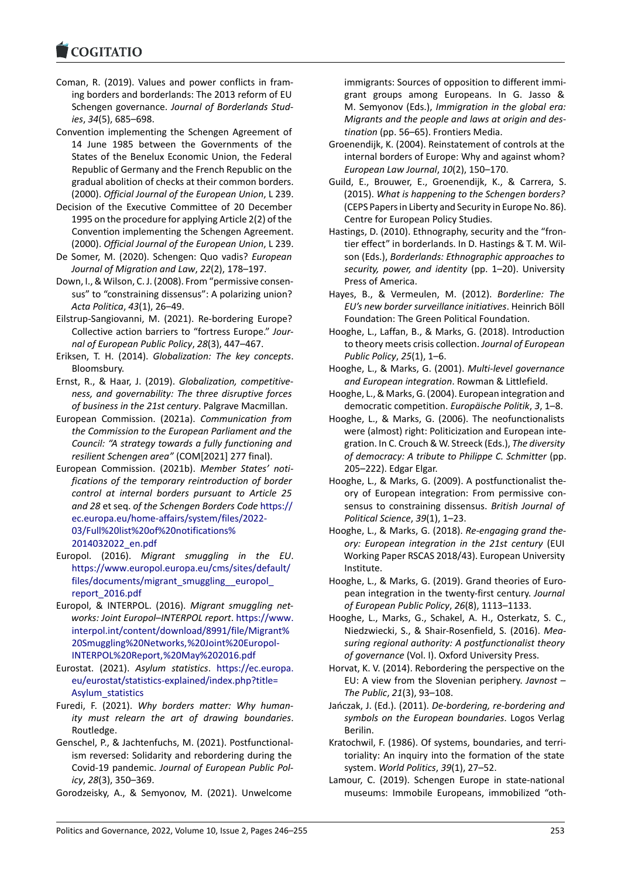#### COGITATIO

- Coman, R. (2019). Values and power conflicts in fram‐ [ing borders and b](https://www.cogitatiopress.com)orderlands: The 2013 reform of EU Schengen governance. *Journal of Borderlands Stud‐ ies*, *34*(5), 685–698.
- Convention implementing the Schengen Agreement of 14 June 1985 between the Governments of the States of the Benelux Economic Union, the Federal Republic of Germany and the French Republic on the gradual abolition of checks at their common borders. (2000). *Official Journal of the European Union*, L 239.
- Decision of the Executive Committee of 20 December 1995 on the procedure for applying Article 2(2) of the Convention implementing the Schengen Agreement. (2000). *Official Journal of the European Union*, L 239.
- De Somer, M. (2020). Schengen: Quo vadis? *European Journal of Migration and Law*, *22*(2), 178–197.
- Down, I., & Wilson, C. J. (2008). From "permissive consen‐ sus" to "constraining dissensus": A polarizing union? *Acta Politica*, *43*(1), 26–49.
- Eilstrup‐Sangiovanni, M. (2021). Re‐bordering Europe? Collective action barriers to "fortress Europe." *Jour‐ nal of European Public Policy*, *28*(3), 447–467.
- Eriksen, T. H. (2014). *Globalization: The key concepts*. Bloomsbury.
- Ernst, R., & Haar, J. (2019). *Globalization, competitive‐ ness, and governability: The three disruptive forces of business in the 21st century*. Palgrave Macmillan.
- European Commission. (2021a). *Communication from the Commission to the European Parliament and the Council: "A strategy towards a fully functioning and resilient Schengen area"* (COM[2021] 277 final).
- European Commission. (2021b). *Member States' noti‐ fications of the temporary reintroduction of border control at internal borders pursuant to Article 25 and 28* et seq. *of the Schengen Borders Code* https:// ec.europa.eu/home‐affairs/system/files/2022‐ 03/Full%20list%20of%20notifications% 2014032022\_en.pdf
- Europol. (2016). *Migrant smuggling int[he EU](https://ec.europa.eu/home-affairs/system/files/2022-03/Full%20list%20of%20notifications%2014032022_en.pdf)*. [https://www.europol.europa.eu/cms/sites/de](https://ec.europa.eu/home-affairs/system/files/2022-03/Full%20list%20of%20notifications%2014032022_en.pdf)fault/ files/documents/migrant\_smuggling\_europol [report\\_2016.pdf](https://ec.europa.eu/home-affairs/system/files/2022-03/Full%20list%20of%20notifications%2014032022_en.pdf)
- Europol, & INTERPOL. (2016). *Migrant smuggling net‐ [works: Joint Europol–INTERPOL report](https://www.europol.europa.eu/cms/sites/default/files/documents/migrant_smuggling__europol_report_2016.pdf)*. https://www. [interpol.int/content/download/8991/file/Migran](https://www.europol.europa.eu/cms/sites/default/files/documents/migrant_smuggling__europol_report_2016.pdf)t% [20Smuggling%20](https://www.europol.europa.eu/cms/sites/default/files/documents/migrant_smuggling__europol_report_2016.pdf)Networks,%20Joint%20Europol‐ INTERPOL%20Report,%20May%202016.pdf
- Eurostat. (2021). *Asylum statistics*. http[s://ec.europa.](https://www.interpol.int/content/download/8991/file/Migrant%20Smuggling%20Networks,%20Joint%20Europol-INTERPOL%20Report,%20May%202016.pdf) [eu/eurostat/statistics‐explained/index.php?title=](https://www.interpol.int/content/download/8991/file/Migrant%20Smuggling%20Networks,%20Joint%20Europol-INTERPOL%20Report,%20May%202016.pdf) [Asylum\\_statistics](https://www.interpol.int/content/download/8991/file/Migrant%20Smuggling%20Networks,%20Joint%20Europol-INTERPOL%20Report,%20May%202016.pdf)
- Furedi, F. (2021). *[Why borders matter: Why](https://www.interpol.int/content/download/8991/file/Migrant%20Smuggling%20Networks,%20Joint%20Europol-INTERPOL%20Report,%20May%202016.pdf) human‐ ity must relearn the art of dr[awing boundaries](https://ec.europa.eu/eurostat/statistics-explained/index.php?title=Asylum_statistics)*. [Routledge.](https://ec.europa.eu/eurostat/statistics-explained/index.php?title=Asylum_statistics)
- Ge[nschel, P., & Jachte](https://ec.europa.eu/eurostat/statistics-explained/index.php?title=Asylum_statistics)nfuchs, M. (2021). Postfunctional‐ ism reversed: Solidarity and rebordering during the Covid‐19 pandemic. *Journal of European Public Pol‐ icy*, *28*(3), 350–369.
- Gorodzeisky, A., & Semyonov, M. (2021). Unwelcome

immigrants: Sources of opposition to different immi‐ grant groups among Europeans. In G. Jasso & M. Semyonov (Eds.), *Immigration in the global era: Migrants and the people and laws at origin and des‐ tination* (pp. 56–65). Frontiers Media.

- Groenendijk, K. (2004). Reinstatement of controls at the internal borders of Europe: Why and against whom? *European Law Journal*, *10*(2), 150–170.
- Guild, E., Brouwer, E., Groenendijk, K., & Carrera, S. (2015). *What is happening to the Schengen borders?* (CEPS Papers in Liberty and Security in Europe No. 86). Centre for European Policy Studies.
- Hastings, D. (2010). Ethnography, security and the "fron‐ tier effect" in borderlands. In D. Hastings & T. M. Wil‐ son (Eds.), *Borderlands: Ethnographic approaches to security, power, and identity* (pp. 1–20). University Press of America.
- Hayes, B., & Vermeulen, M. (2012). *Borderline: The EU's new border surveillance initiatives*. Heinrich Böll Foundation: The Green Political Foundation.
- Hooghe, L., Laffan, B., & Marks, G. (2018). Introduction to theory meets crisis collection. *Journal of European Public Policy*, *25*(1), 1–6.
- Hooghe, L., & Marks, G. (2001). *Multi‐level governance and European integration*. Rowman & Littlefield.
- Hooghe, L., & Marks, G. (2004). European integration and democratic competition. *Europäische Politik*, *3*, 1–8.
- Hooghe, L., & Marks, G. (2006). The neofunctionalists were (almost) right: Politicization and European integration. In C. Crouch & W. Streeck (Eds.), *The diversity of democracy: A tribute to Philippe C. Schmitter* (pp. 205–222). Edgar Elgar.
- Hooghe, L., & Marks, G. (2009). A postfunctionalist the‐ ory of European integration: From permissive con‐ sensus to constraining dissensus. *British Journal of Political Science*, *39*(1), 1–23.
- Hooghe, L., & Marks, G. (2018). *Re‐engaging grand the‐ ory: European integration in the 21st century* (EUI Working Paper RSCAS 2018/43). European University Institute.
- Hooghe, L., & Marks, G. (2019). Grand theories of Euro‐ pean integration in the twenty‐first century. *Journal of European Public Policy*, *26*(8), 1113–1133.
- Hooghe, L., Marks, G., Schakel, A. H., Osterkatz, S. C., Niedzwiecki, S., & Shair‐Rosenfield, S. (2016). *Mea‐ suring regional authority: A postfunctionalist theory of governance* (Vol. I). Oxford University Press.
- Horvat, K. V. (2014). Rebordering the perspective on the EU: A view from the Slovenian periphery. *Javnost – The Public*, *21*(3), 93–108.
- Jańczak, J. (Ed.). (2011). *De‐bordering, re‐bordering and symbols on the European boundaries*. Logos Verlag Berilin.
- Kratochwil, F. (1986). Of systems, boundaries, and terri‐ toriality: An inquiry into the formation of the state system. *World Politics*, *39*(1), 27–52.
- Lamour, C. (2019). Schengen Europe in state-national museums: Immobile Europeans, immobilized "oth‐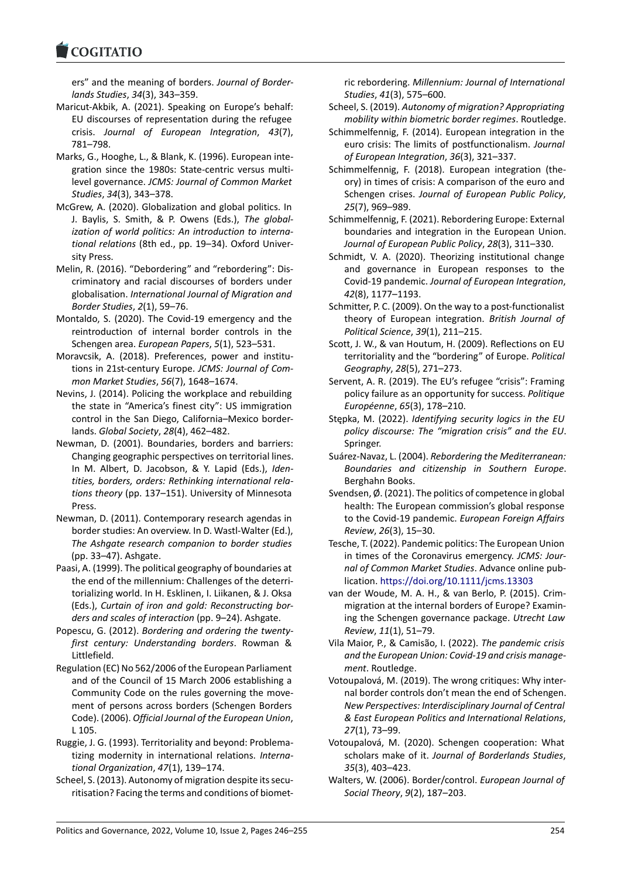#### COMITATIO

ers" and the meaning of borders. *Journal of Border‐ lands Studies*, *34*(3), 343–359.

- [Maricut‐Akbik, A. \(2](https://www.cogitatiopress.com)021). Speaking on Europe's behalf: EU discourses of representation during the refugee crisis. *Journal of European Integration*, *43*(7), 781–798.
- Marks, G., Hooghe, L., & Blank, K. (1996). European inte‐ gration since the 1980s: State‐centric versus multi‐ level governance. *JCMS: Journal of Common Market Studies*, *34*(3), 343–378.
- McGrew, A. (2020). Globalization and global politics. In J. Baylis, S. Smith, & P. Owens (Eds.), *The global‐ ization of world politics: An introduction to interna‐ tional relations* (8th ed., pp. 19–34). Oxford Univer‐ sity Press.
- Melin, R. (2016). "Debordering" and "rebordering": Dis‐ criminatory and racial discourses of borders under globalisation. *International Journal of Migration and Border Studies*, *2*(1), 59–76.
- Montaldo, S. (2020). The Covid‐19 emergency and the reintroduction of internal border controls in the Schengen area. *European Papers*, *5*(1), 523–531.
- Moravcsik, A. (2018). Preferences, power and institu‐ tions in 21st‐century Europe. *JCMS: Journal of Com‐ mon Market Studies*, *56*(7), 1648–1674.
- Nevins, J. (2014). Policing the workplace and rebuilding the state in "America's finest city": US immigration control in the San Diego, California–Mexico border‐ lands. *Global Society*, *28*(4), 462–482.
- Newman, D. (2001). Boundaries, borders and barriers: Changing geographic perspectives on territorial lines. In M. Albert, D. Jacobson, & Y. Lapid (Eds.), *Iden‐ tities, borders, orders: Rethinking international rela‐ tions theory* (pp. 137–151). University of Minnesota Press.
- Newman, D. (2011). Contemporary research agendas in border studies: An overview. In D. Wastl‐Walter (Ed.), *The Ashgate research companion to border studies* (pp. 33–47). Ashgate.
- Paasi, A. (1999). The political geography of boundaries at the end of the millennium: Challenges of the deterri‐ torializing world. In H. Esklinen, I. Liikanen, & J. Oksa (Eds.), *Curtain of iron and gold: Reconstructing bor‐ ders and scales of interaction* (pp. 9–24). Ashgate.
- Popescu, G. (2012). *Bordering and ordering the twenty‐ first century: Understanding borders*. Rowman & Littlefield.
- Regulation (EC) No 562/2006 of the European Parliament and of the Council of 15 March 2006 establishing a Community Code on the rules governing the move‐ ment of persons across borders (Schengen Borders Code). (2006). *Official Journal of the European Union*, L 105.
- Ruggie, J. G. (1993). Territoriality and beyond: Problema‐ tizing modernity in international relations. *Interna‐ tional Organization*, *47*(1), 139–174.
- Scheel, S. (2013). Autonomy of migration despite its secu‐ ritisation? Facing the terms and conditions of biomet‐

ric rebordering. *Millennium: Journal of International Studies*, *41*(3), 575–600.

- Scheel, S. (2019). *Autonomy of migration? Appropriating mobility within biometric border regimes*. Routledge.
- Schimmelfennig, F. (2014). European integration in the euro crisis: The limits of postfunctionalism. *Journal of European Integration*, *36*(3), 321–337.
- Schimmelfennig, F. (2018). European integration (the‐ ory) in times of crisis: A comparison of the euro and Schengen crises. *Journal of European Public Policy*, *25*(7), 969–989.
- Schimmelfennig, F. (2021). Rebordering Europe: External boundaries and integration in the European Union. *Journal of European Public Policy*, *28*(3), 311–330.
- Schmidt, V. A. (2020). Theorizing institutional change and governance in European responses to the Covid‐19 pandemic. *Journal of European Integration*, *42*(8), 1177–1193.
- Schmitter, P. C. (2009). On the way to a post-functionalist theory of European integration. *British Journal of Political Science*, *39*(1), 211–215.
- Scott, J. W., & van Houtum, H. (2009). Reflections on EU territoriality and the "bordering" of Europe. *Political Geography*, *28*(5), 271–273.
- Servent, A. R. (2019). The EU's refugee "crisis": Framing policy failure as an opportunity for success. *Politique Européenne*, *65*(3), 178–210.
- Stępka, M. (2022). *Identifying security logics in the EU policy discourse: The "migration crisis" and the EU*. Springer.
- Suárez‐Navaz, L. (2004). *Rebordering the Mediterranean: Boundaries and citizenship in Southern Europe*. Berghahn Books.
- Svendsen, Ø. (2021). The politics of competence in global health: The European commission's global response to the Covid‐19 pandemic. *European Foreign Affairs Review*, *26*(3), 15–30.
- Tesche, T. (2022). Pandemic politics: The European Union in times of the Coronavirus emergency. *JCMS: Jour‐ nal of Common Market Studies*. Advance online pub‐ lication. https://doi.org/10.1111/jcms.13303
- van der Woude, M. A. H., & van Berlo, P. (2015). Crim‐ migration at the internal borders of Europe? Examin‐ ing the Schengen governance package. *Utrecht Law Review*, *11*[\(1\), 51–79.](https://doi.org/10.1111/jcms.13303)
- Vila Maior, P., & Camisão, I. (2022). *The pandemic crisis and the European Union: Covid‐19 and crisis manage‐ ment*. Routledge.
- Votoupalová, M. (2019). The wrong critiques: Why inter‐ nal border controls don't mean the end of Schengen. *New Perspectives: Interdisciplinary Journal of Central & East European Politics and International Relations*, *27*(1), 73–99.
- Votoupalová, M. (2020). Schengen cooperation: What scholars make of it. *Journal of Borderlands Studies*, *35*(3), 403–423.
- Walters, W. (2006). Border/control. *European Journal of Social Theory*, *9*(2), 187–203.